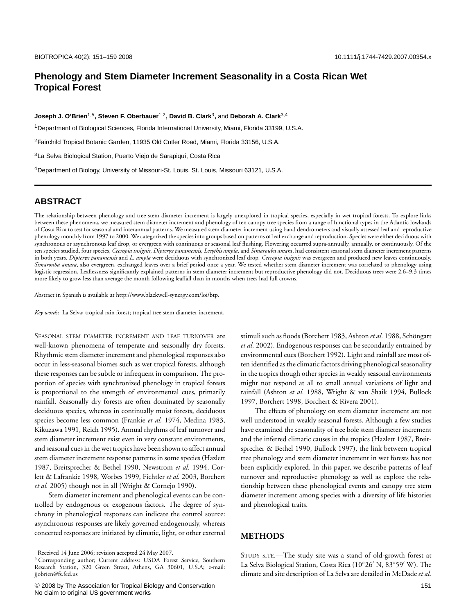## **Phenology and Stem Diameter Increment Seasonality in a Costa Rican Wet Tropical Forest**

**Joseph J. O'Brien**1*,*5**, Steven F. Oberbauer**1*,*2**, David B. Clark**3**,** and **Deborah A. Clark**3*,*<sup>4</sup>

1Department of Biological Sciences, Florida International University, Miami, Florida 33199, U.S.A.

2Fairchild Tropical Botanic Garden, 11935 Old Cutler Road, Miami, Florida 33156, U.S.A.

<sup>3</sup> La Selva Biological Station, Puerto Viejo de Sarapiquí, Costa Rica

4Department of Biology, University of Missouri-St. Louis, St. Louis, Missouri 63121, U.S.A.

# **ABSTRACT**

The relationship between phenology and tree stem diameter increment is largely unexplored in tropical species, especially in wet tropical forests. To explore links between these phenomena, we measured stem diameter increment and phenology of ten canopy tree species from a range of functional types in the Atlantic lowlands of Costa Rica to test for seasonal and interannual patterns. We measured stem diameter increment using band dendrometers and visually assessed leaf and reproductive phenology monthly from 1997 to 2000. We categorized the species into groups based on patterns of leaf exchange and reproduction. Species were either deciduous with synchronous or asynchronous leaf drop, or evergreen with continuous or seasonal leaf flushing. Flowering occurred supra-annually, annually, or continuously. Of the ten species studied, four species, *Cecropia insignis, Dipteryx panamensis, Lecythis ampla,* and *Simarouba amara*, had consistent seasonal stem diameter increment patterns in both years. *Dipteryx panamensis* and *L. ampla* were deciduous with synchronized leaf drop*. Cecropia insignis* was evergreen and produced new leaves continuously. *Simarouba amara*, also evergreen, exchanged leaves over a brief period once a year. We tested whether stem diameter increment was correlated to phenology using logistic regression. Leaflessness significantly explained patterns in stem diameter increment but reproductive phenology did not. Deciduous trees were 2.6–9.3 times more likely to grow less than average the month following leaffall than in months when trees had full crowns.

Abstract in Spanish is available at http://www.blackwell-synergy.com/loi/btp.

*Key words*: La Selva; tropical rain forest; tropical tree stem diameter increment.

SEASONAL STEM DIAMETER INCREMENT AND LEAF TURNOVER are well-known phenomena of temperate and seasonally dry forests. Rhythmic stem diameter increment and phenological responses also occur in less-seasonal biomes such as wet tropical forests, although these responses can be subtle or infrequent in comparison. The proportion of species with synchronized phenology in tropical forests is proportional to the strength of environmental cues, primarily rainfall. Seasonally dry forests are often dominated by seasonally deciduous species, whereas in continually moist forests, deciduous species become less common (Frankie *et al.* 1974, Medina 1983, Kikuzawa 1991, Reich 1995). Annual rhythms of leaf turnover and stem diameter increment exist even in very constant environments, and seasonal cues in the wet tropics have been shown to affect annual stem diameter increment response patterns in some species (Hazlett 1987, Breitsprecher & Bethel 1990, Newstrom *et al.* 1994, Corlett & Lafrankie 1998, Worbes 1999, Fichtler *et al.* 2003, Borchert *et al.* 2005) though not in all (Wright & Cornejo 1990).

Stem diameter increment and phenological events can be controlled by endogenous or exogenous factors. The degree of synchrony in phenological responses can indicate the control source: asynchronous responses are likely governed endogenously, whereas concerted responses are initiated by climatic, light, or other external stimuli such as floods (Borchert 1983, Ashton *et al.* 1988, Schöngart *et al*. 2002). Endogenous responses can be secondarily entrained by environmental cues (Borchert 1992). Light and rainfall are most often identified as the climatic factors driving phenological seasonality in the tropics though other species in weakly seasonal environments might not respond at all to small annual variations of light and rainfall (Ashton *et al.* 1988, Wright & van Shaik 1994, Bullock 1997, Borchert 1998, Borchert & Rivera 2001).

The effects of phenology on stem diameter increment are not well understood in weakly seasonal forests. Although a few studies have examined the seasonality of tree bole stem diameter increment and the inferred climatic causes in the tropics (Hazlett 1987, Breitsprecher & Bethel 1990, Bullock 1997), the link between tropical tree phenology and stem diameter increment in wet forests has not been explicitly explored. In this paper, we describe patterns of leaf turnover and reproductive phenology as well as explore the relationship between these phenological events and canopy tree stem diameter increment among species with a diversity of life histories and phenological traits.

#### **METHODS**

STUDY SITE.—The study site was a stand of old-growth forest at La Selva Biological Station, Costa Rica (10°26′ N, 83°59′ W). The climate and site description of La Selva are detailed in McDade*et al.*

Received 14 June 2006; revision accepted 24 May 2007.

<sup>5</sup> Corresponding author; Current address: USDA Forest Service, Southern Research Station, 320 Green Street, Athens, GA 30601, U.S.A; e-mail: jjobrien@fs.fed.us

<sup>C</sup> 2008 by The Association for Tropical Biology and Conservation No claim to original US government works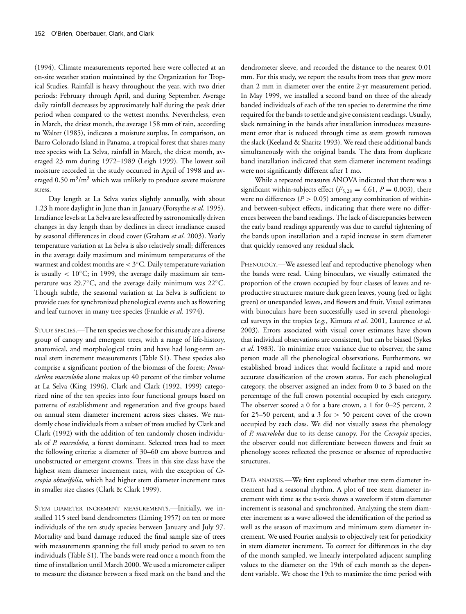(1994). Climate measurements reported here were collected at an on-site weather station maintained by the Organization for Tropical Studies. Rainfall is heavy throughout the year, with two drier periods: February through April, and during September. Average daily rainfall decreases by approximately half during the peak drier period when compared to the wettest months. Nevertheless, even in March, the driest month, the average 158 mm of rain, according to Walter (1985), indicates a moisture surplus. In comparison, on Barro Colorado Island in Panama, a tropical forest that shares many tree species with La Selva, rainfall in March, the driest month, averaged 23 mm during 1972–1989 (Leigh 1999). The lowest soil moisture recorded in the study occurred in April of 1998 and averaged  $0.50 \text{ m}^3/\text{m}^3$  which was unlikely to produce severe moisture stress.

Day length at La Selva varies slightly annually, with about 1.23 h more daylight in June than in January (Forsythe *et al.* 1995). Irradiance levels at La Selva are less affected by astronomically driven changes in day length than by declines in direct irradiance caused by seasonal differences in cloud cover (Graham *et al*. 2003). Yearly temperature variation at La Selva is also relatively small; differences in the average daily maximum and minimum temperatures of the warmest and coldest months are < 3◦C. Daily temperature variation is usually  $< 10°C$ ; in 1999, the average daily maximum air temperature was 29.7◦C, and the average daily minimum was 22◦C. Though subtle, the seasonal variation at La Selva is sufficient to provide cues for synchronized phenological events such as flowering and leaf turnover in many tree species (Frankie *et al.* 1974).

STUDY SPECIES.—The ten species we chose for this study are a diverse group of canopy and emergent trees, with a range of life-history, anatomical, and morphological traits and have had long-term annual stem increment measurements (Table S1). These species also comprise a significant portion of the biomass of the forest; *Pentaclethra macroloba* alone makes up 40 percent of the timber volume at La Selva (King 1996). Clark and Clark (1992, 1999) categorized nine of the ten species into four functional groups based on patterns of establishment and regeneration and five groups based on annual stem diameter increment across sizes classes. We randomly chose individuals from a subset of trees studied by Clark and Clark (1992) with the addition of ten randomly chosen individuals of *P. macroloba*, a forest dominant. Selected trees had to meet the following criteria: a diameter of 30–60 cm above buttress and unobstructed or emergent crowns. Trees in this size class have the highest stem diameter increment rates, with the exception of *Cecropia obtusifolia*, which had higher stem diameter increment rates in smaller size classes (Clark & Clark 1999).

STEM DIAMETER INCREMENT MEASUREMENTS.—Initially, we installed 115 steel band dendrometers (Liming 1957) on ten or more individuals of the ten study species between January and July 97. Mortality and band damage reduced the final sample size of trees with measurements spanning the full study period to seven to ten individuals (Table S1). The bands were read once a month from the time of installation until March 2000. We used a micrometer caliper to measure the distance between a fixed mark on the band and the dendrometer sleeve, and recorded the distance to the nearest 0.01 mm. For this study, we report the results from trees that grew more than 2 mm in diameter over the entire 2-yr measurement period. In May 1999, we installed a second band on three of the already banded individuals of each of the ten species to determine the time required for the bands to settle and give consistent readings. Usually, slack remaining in the bands after installation introduces measurement error that is reduced through time as stem growth removes the slack (Keeland & Sharitz 1993). We read these additional bands simultaneously with the original bands. The data from duplicate band installation indicated that stem diameter increment readings were not significantly different after 1 mo.

While a repeated measures ANOVA indicated that there was a significant within-subjects effect  $(F_{5,28} = 4.61, P = 0.003)$ , there were no differences ( $P > 0.05$ ) among any combination of withinand between-subject effects, indicating that there were no differences between the band readings. The lack of discrepancies between the early band readings apparently was due to careful tightening of the bands upon installation and a rapid increase in stem diameter that quickly removed any residual slack.

PHENOLOGY.—We assessed leaf and reproductive phenology when the bands were read. Using binoculars, we visually estimated the proportion of the crown occupied by four classes of leaves and reproductive structures: mature dark green leaves, young (red or light green) or unexpanded leaves, and flowers and fruit. Visual estimates with binoculars have been successfully used in several phenological surveys in the tropics (*e.g.*, Kimura *et al*. 2001, Laurence *et al*. 2003). Errors associated with visual cover estimates have shown that individual observations are consistent, but can be biased (Sykes *et al*. 1983). To minimize error variance due to observer, the same person made all the phenological observations. Furthermore, we established broad indices that would facilitate a rapid and more accurate classification of the crown status. For each phenological category, the observer assigned an index from 0 to 3 based on the percentage of the full crown potential occupied by each category. The observer scored a 0 for a bare crown, a 1 for 0–25 percent, 2 for 25–50 percent, and a 3 for  $> 50$  percent cover of the crown occupied by each class. We did not visually assess the phenology of *P. macroloba* due to its dense canopy. For the *Cecropia* species, the observer could not differentiate between flowers and fruit so phenology scores reflected the presence or absence of reproductive structures.

DATA ANALYSIS.—We first explored whether tree stem diameter increment had a seasonal rhythm. A plot of tree stem diameter increment with time as the x-axis shows a waveform if stem diameter increment is seasonal and synchronized. Analyzing the stem diameter increment as a wave allowed the identification of the period as well as the season of maximum and minimum stem diameter increment. We used Fourier analysis to objectively test for periodicity in stem diameter increment. To correct for differences in the day of the month sampled, we linearly interpolated adjacent sampling values to the diameter on the 19th of each month as the dependent variable. We chose the 19th to maximize the time period with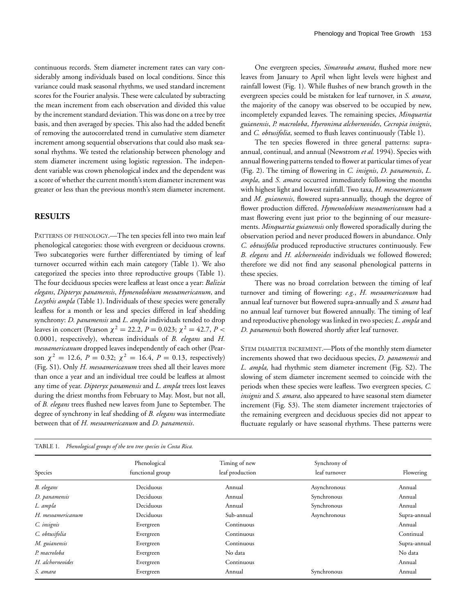continuous records. Stem diameter increment rates can vary considerably among individuals based on local conditions. Since this variance could mask seasonal rhythms, we used standard increment scores for the Fourier analysis. These were calculated by subtracting the mean increment from each observation and divided this value by the increment standard deviation. This was done on a tree by tree basis, and then averaged by species. This also had the added benefit of removing the autocorrelated trend in cumulative stem diameter increment among sequential observations that could also mask seasonal rhythms. We tested the relationship between phenology and stem diameter increment using logistic regression. The independent variable was crown phenological index and the dependent was a score of whether the current month's stem diameter increment was greater or less than the previous month's stem diameter increment.

#### **RESULTS**

PATTERNS OF PHENOLOGY.—The ten species fell into two main leaf phenological categories: those with evergreen or deciduous crowns. Two subcategories were further differentiated by timing of leaf turnover occurred within each main category (Table 1). We also categorized the species into three reproductive groups (Table 1). The four deciduous species were leafless at least once a year: *Balizia elegans*, *Dipteryx panamensis*, *Hymenolobium mesoamericanum*, and *Lecythis ampla* (Table 1). Individuals of these species were generally leafless for a month or less and species differed in leaf shedding synchrony: *D. panamensis* and *L. ampla* individuals tended to drop leaves in concert (Pearson  $\chi^2 = 22.2$ ,  $P = 0.023$ ;  $\chi^2 = 42.7$ ,  $P <$ 0.0001, respectively), whereas individuals of *B. elegans* and *H. mesoamericanum* dropped leaves independently of each other (Pearson  $\chi^2 = 12.6$ ,  $P = 0.32$ ;  $\chi^2 = 16.4$ ,  $P = 0.13$ , respectively) (Fig. S1). Only *H. mesoamericanum* trees shed all their leaves more than once a year and an individual tree could be leafless at almost any time of year. *Dipteryx panamensis* and *L. ampla* trees lost leaves during the driest months from February to May. Most, but not all, of *B. elegans* trees flushed new leaves from June to September. The degree of synchrony in leaf shedding of *B. elegans* was intermediate between that of *H. mesoamericanum* and *D. panamensis*.

One evergreen species, *Simarouba amara*, flushed more new leaves from January to April when light levels were highest and rainfall lowest (Fig. 1). While flushes of new branch growth in the evergreen species could be mistaken for leaf turnover, in *S. amara*, the majority of the canopy was observed to be occupied by new, incompletely expanded leaves. The remaining species, *Minquartia guianensis*, *P. macroloba*, *Hyeronima alchorneoides*, *Cecropia insignis*, and *C. obtusifolia*, seemed to flush leaves continuously (Table 1).

The ten species flowered in three general patterns: supraannual, continual, and annual (Newstrom *et al.* 1994). Species with annual flowering patterns tended to flower at particular times of year (Fig. 2). The timing of flowering in *C. insignis*, *D. panamensis*, *L. ampla*, and *S. amara* occurred immediately following the months with highest light and lowest rainfall. Two taxa, *H. mesoamericanum* and *M. guianensis*, flowered supra-annually, though the degree of flower production differed. *Hymenolobium mesoamericanum* had a mast flowering event just prior to the beginning of our measurements. *Minquartia guianensis* only flowered sporadically during the observation period and never produced flowers in abundance. Only *C. obtusifolia* produced reproductive structures continuously. Few *B. elegans* and *H. alchorneoides* individuals we followed flowered; therefore we did not find any seasonal phenological patterns in these species.

There was no broad correlation between the timing of leaf turnover and timing of flowering: *e.g.*, *H. mesoamericanum* had annual leaf turnover but flowered supra-annually and *S. amara* had no annual leaf turnover but flowered annually. The timing of leaf and reproductive phenology was linked in two species; *L. ampla* and *D. panamensis* both flowered shortly after leaf turnover.

STEM DIAMETER INCREMENT.—Plots of the monthly stem diameter increments showed that two deciduous species, *D. panamensis* and *L. ampla,* had rhythmic stem diameter increment (Fig. S2). The slowing of stem diameter increment seemed to coincide with the periods when these species were leafless. Two evergreen species, *C. insignis* and *S. amara*, also appeared to have seasonal stem diameter increment (Fig. S3). The stem diameter increment trajectories of the remaining evergreen and deciduous species did not appear to fluctuate regularly or have seasonal rhythms. These patterns were

| Species           | Phenological<br>functional group | Timing of new<br>leaf production | Synchrony of<br>leaf turnover | Flowering    |  |
|-------------------|----------------------------------|----------------------------------|-------------------------------|--------------|--|
| B. elegans        | Deciduous                        | Annual                           | Asynchronous                  | Annual       |  |
| D. panamensis     | Deciduous                        | Annual                           | Synchronous                   | Annual       |  |
| L. ampla          | Deciduous                        | Annual                           | Synchronous                   | Annual       |  |
| H. mesoamericanum | Deciduous                        | Sub-annual                       | Asynchronous                  | Supra-annual |  |
| C. insignis       | Evergreen                        | Continuous                       |                               | Annual       |  |
| C. obtusifolia    | Evergreen                        | Continuous                       |                               | Continual    |  |
| M. guianensis     | Evergreen                        | Continuous                       |                               | Supra-annual |  |
| P. macroloba      | Evergreen                        | No data                          |                               | No data      |  |
| H. alchorneoides  | Evergreen                        | Continuous                       |                               | Annual       |  |
| S. amara          | Evergreen                        | Annual                           | Synchronous                   | Annual       |  |

| TABLE 1. | Phenological groups of the ten tree species in Costa Rica. |  |  |  |  |  |  |
|----------|------------------------------------------------------------|--|--|--|--|--|--|
|----------|------------------------------------------------------------|--|--|--|--|--|--|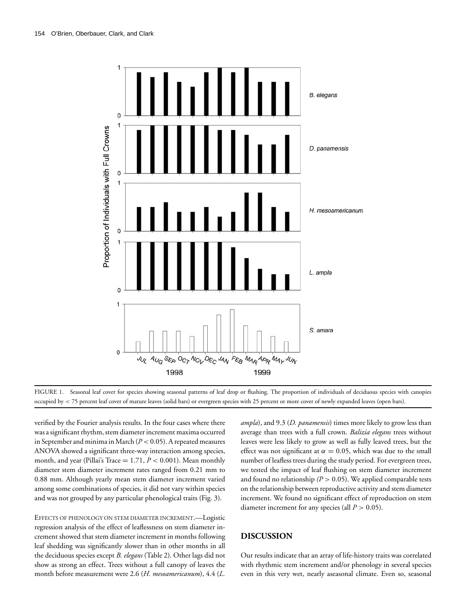



verified by the Fourier analysis results. In the four cases where there was a significant rhythm, stem diameter increment maxima occurred in September and minima in March (*P* < 0.05). A repeated measures ANOVA showed a significant three-way interaction among species, month, and year (Pillai's Trace = 1.71, *P* < 0.001). Mean monthly diameter stem diameter increment rates ranged from 0.21 mm to 0.88 mm. Although yearly mean stem diameter increment varied among some combinations of species, it did not vary within species and was not grouped by any particular phenological traits (Fig. 3).

EFFECTS OF PHENOLOGY ON STEM DIAMETER INCREMENT.—Logistic regression analysis of the effect of leaflessness on stem diameter increment showed that stem diameter increment in months following leaf shedding was significantly slower than in other months in all the deciduous species except *B. elegans* (Table 2). Other lags did not show as strong an effect. Trees without a full canopy of leaves the month before measurement were 2.6 (*H. mesoamericanum*), 4.4 (*L.*

*ampla*), and 9.3 (*D. panamensis*) times more likely to grow less than average than trees with a full crown. *Balizia elegans* trees without leaves were less likely to grow as well as fully leaved trees, but the effect was not significant at  $\alpha = 0.05$ , which was due to the small number of leafless trees during the study period. For evergreen trees, we tested the impact of leaf flushing on stem diameter increment and found no relationship  $(P > 0.05)$ . We applied comparable tests on the relationship between reproductive activity and stem diameter increment. We found no significant effect of reproduction on stem diameter increment for any species (all *P* > 0.05).

#### **DISCUSSION**

Our results indicate that an array of life-history traits was correlated with rhythmic stem increment and/or phenology in several species even in this very wet, nearly aseasonal climate. Even so, seasonal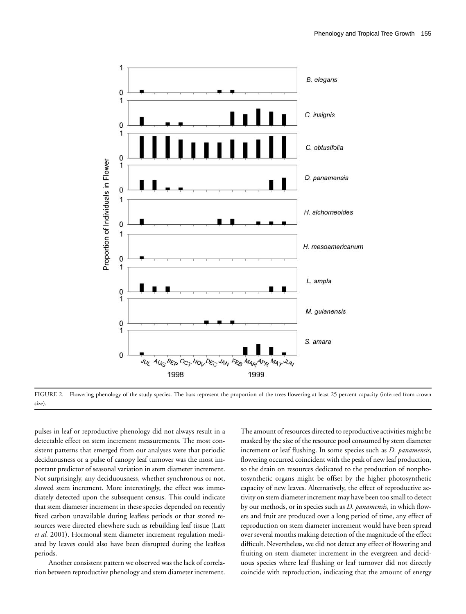

FIGURE 2. Flowering phenology of the study species. The bars represent the proportion of the trees flowering at least 25 percent capacity (inferred from crown size).

pulses in leaf or reproductive phenology did not always result in a detectable effect on stem increment measurements. The most consistent patterns that emerged from our analyses were that periodic deciduousness or a pulse of canopy leaf turnover was the most important predictor of seasonal variation in stem diameter increment. Not surprisingly, any deciduousness, whether synchronous or not, slowed stem increment. More interestingly, the effect was immediately detected upon the subsequent census. This could indicate that stem diameter increment in these species depended on recently fixed carbon unavailable during leafless periods or that stored resources were directed elsewhere such as rebuilding leaf tissue (Latt *et al.* 2001). Hormonal stem diameter increment regulation mediated by leaves could also have been disrupted during the leafless periods.

Another consistent pattern we observed was the lack of correlation between reproductive phenology and stem diameter increment.

The amount of resources directed to reproductive activities might be masked by the size of the resource pool consumed by stem diameter increment or leaf flushing. In some species such as *D. panamensis*, flowering occurred coincident with the peak of new leaf production, so the drain on resources dedicated to the production of nonphotosynthetic organs might be offset by the higher photosynthetic capacity of new leaves. Alternatively, the effect of reproductive activity on stem diameter increment may have been too small to detect by our methods, or in species such as *D. panamensis*, in which flowers and fruit are produced over a long period of time, any effect of reproduction on stem diameter increment would have been spread over several months making detection of the magnitude of the effect difficult. Nevertheless, we did not detect any effect of flowering and fruiting on stem diameter increment in the evergreen and deciduous species where leaf flushing or leaf turnover did not directly coincide with reproduction, indicating that the amount of energy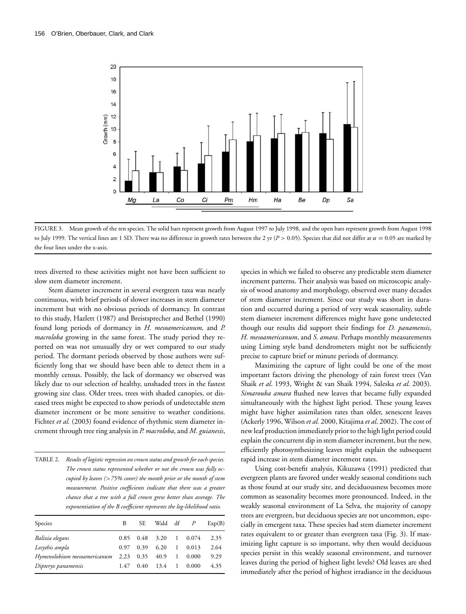

FIGURE 3. Mean growth of the ten species. The solid bars represent growth from August 1997 to July 1998, and the open bars represent growth from August 1998 to July 1999. The vertical lines are 1 SD. There was no difference in growth rates between the 2 yr ( $P > 0.05$ ). Species that did not differ at  $\alpha = 0.05$  are marked by the four lines under the x-axis.

trees diverted to these activities might not have been sufficient to slow stem diameter increment.

Stem diameter increment in several evergreen taxa was nearly continuous, with brief periods of slower increases in stem diameter increment but with no obvious periods of dormancy. In contrast to this study, Hazlett (1987) and Breistsprecher and Bethel (1990) found long periods of dormancy in *H. mesoamericanum,* and *P. macroloba* growing in the same forest. The study period they reported on was not unusually dry or wet compared to our study period. The dormant periods observed by those authors were sufficiently long that we should have been able to detect them in a monthly census. Possibly, the lack of dormancy we observed was likely due to our selection of healthy, unshaded trees in the fastest growing size class. Older trees, trees with shaded canopies, or diseased trees might be expected to show periods of undetectable stem diameter increment or be more sensitive to weather conditions. Fichter *et al.* (2003) found evidence of rhythmic stem diameter increment through tree ring analysis in *P. macroloba*, and *M. guianesis*,

TABLE 2. *Results of logistic regression on crown status and growth for each species. The crown status represented whether or not the crown was fully occupied by leaves (*>*75% cover) the month prior or the month of stem measurement. Positive coefficients indicate that there was a greater chance that a tree with a full crown grew better than average. The exponentiation of the B coefficient represents the log-likelihood ratio.*

| Species                     | В    | SE.  | Wald $df$ $P$ |              |       | Exp(B) |
|-----------------------------|------|------|---------------|--------------|-------|--------|
| Balizia elegans             | 0.85 | 0.48 | 3.20          | $\mathbf{1}$ | 0.074 | 2.35   |
| Lecythis ampla              | 0.97 | 0.39 | 6.20          | 1            | 0.013 | 2.64   |
| Hymenolobium mesoamericanum | 2.23 | 0.35 | 40.9          | 1            | 0.000 | 9.29   |
| Dipteryx panamensis         | 1.47 | 0.40 | 13.4          | 1            | 0.000 | 4.35   |

species in which we failed to observe any predictable stem diameter increment patterns. Their analysis was based on microscopic analysis of wood anatomy and morphology, observed over many decades of stem diameter increment. Since our study was short in duration and occurred during a period of very weak seasonality, subtle stem diameter increment differences might have gone undetected though our results did support their findings for *D. panamensis*, *H. mesoamericanum*, and *S. amara*. Perhaps monthly measurements using Liming style band dendrometers might not be sufficiently precise to capture brief or minute periods of dormancy.

Maximizing the capture of light could be one of the most important factors driving the phenology of rain forest trees (Van Shaik *et al*. 1993, Wright & van Shaik 1994, Saleska *et al*. 2003). *Simarouba amara* flushed new leaves that became fully expanded simultaneously with the highest light period. These young leaves might have higher assimilation rates than older, senescent leaves (Ackerly 1996, Wilson *et al.* 2000, Kitajima *et al*. 2002). The cost of new leaf production immediately prior to the high light period could explain the concurrent dip in stem diameter increment, but the new, efficiently photosynthesizing leaves might explain the subsequent rapid increase in stem diameter increment rates.

Using cost-benefit analysis, Kikuzawa (1991) predicted that evergreen plants are favored under weakly seasonal conditions such as those found at our study site, and deciduousness becomes more common as seasonality becomes more pronounced. Indeed, in the weakly seasonal environment of La Selva, the majority of canopy trees are evergreen, but deciduous species are not uncommon, especially in emergent taxa. These species had stem diameter increment rates equivalent to or greater than evergreen taxa (Fig. 3). If maximizing light capture is so important, why then would deciduous species persist in this weakly seasonal environment, and turnover leaves during the period of highest light levels? Old leaves are shed immediately after the period of highest irradiance in the deciduous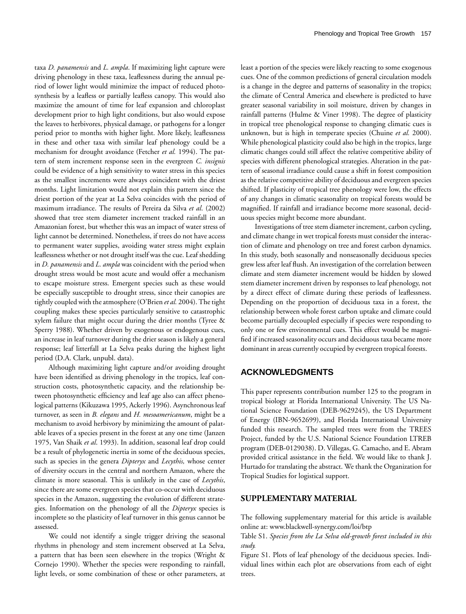taxa *D. panamensis* and *L. ampla*. If maximizing light capture were driving phenology in these taxa, leaflessness during the annual period of lower light would minimize the impact of reduced photosynthesis by a leafless or partially leafless canopy. This would also maximize the amount of time for leaf expansion and chloroplast development prior to high light conditions, but also would expose the leaves to herbivores, physical damage, or pathogens for a longer period prior to months with higher light. More likely, leaflessness in these and other taxa with similar leaf phenology could be a mechanism for drought avoidance (Fetcher *et al.* 1994). The pattern of stem increment response seen in the evergreen *C. insignis* could be evidence of a high sensitivity to water stress in this species as the smallest increments were always coincident with the driest months. Light limitation would not explain this pattern since the driest portion of the year at La Selva coincides with the period of maximum irradiance. The results of Pereira da Silva *et al*. (2002) showed that tree stem diameter increment tracked rainfall in an Amazonian forest, but whether this was an impact of water stress of light cannot be determined. Nonetheless, if trees do not have access to permanent water supplies, avoiding water stress might explain leaflessness whether or not drought itself was the cue. Leaf shedding in *D. panamensis* and *L. ampla* was coincident with the period when drought stress would be most acute and would offer a mechanism to escape moisture stress. Emergent species such as these would be especially susceptible to drought stress, since their canopies are tightly coupled with the atmosphere (O'Brien *et al.* 2004). The tight coupling makes these species particularly sensitive to catastrophic xylem failure that might occur during the drier months (Tyree & Sperry 1988). Whether driven by exogenous or endogenous cues, an increase in leaf turnover during the drier season is likely a general response; leaf litterfall at La Selva peaks during the highest light period (D.A. Clark, unpubl. data).

Although maximizing light capture and/or avoiding drought have been identified as driving phenology in the tropics, leaf construction costs, photosynthetic capacity, and the relationship between photosynthetic efficiency and leaf age also can affect phenological patterns (Kikuzawa 1995, Ackerly 1996). Asynchronous leaf turnover, as seen in *B. elegans* and *H. mesoamericanum*, might be a mechanism to avoid herbivory by minimizing the amount of palatable leaves of a species present in the forest at any one time (Janzen 1975, Van Shaik *et al*. 1993). In addition, seasonal leaf drop could be a result of phylogenetic inertia in some of the deciduous species, such as species in the genera *Dipteryx* and *Lecythis,* whose center of diversity occurs in the central and northern Amazon, where the climate is more seasonal. This is unlikely in the case of *Lecythis*, since there are some evergreen species that co-occur with deciduous species in the Amazon, suggesting the evolution of different strategies. Information on the phenology of all the *Dipteryx* species is incomplete so the plasticity of leaf turnover in this genus cannot be assessed.

We could not identify a single trigger driving the seasonal rhythms in phenology and stem increment observed at La Selva, a pattern that has been seen elsewhere in the tropics (Wright & Cornejo 1990). Whether the species were responding to rainfall, light levels, or some combination of these or other parameters, at least a portion of the species were likely reacting to some exogenous cues. One of the common predictions of general circulation models is a change in the degree and patterns of seasonality in the tropics; the climate of Central America and elsewhere is predicted to have greater seasonal variability in soil moisture, driven by changes in rainfall patterns (Hulme & Viner 1998). The degree of plasticity in tropical tree phenological response to changing climatic cues is unknown, but is high in temperate species (Chuine *et al.* 2000). While phenological plasticity could also be high in the tropics, large climatic changes could still affect the relative competitive ability of species with different phenological strategies. Alteration in the pattern of seasonal irradiance could cause a shift in forest composition as the relative competitive ability of deciduous and evergreen species shifted. If plasticity of tropical tree phenology were low, the effects of any changes in climatic seasonality on tropical forests would be magnified. If rainfall and irradiance become more seasonal, deciduous species might become more abundant.

Investigations of tree stem diameter increment, carbon cycling, and climate change in wet tropical forests must consider the interaction of climate and phenology on tree and forest carbon dynamics. In this study, both seasonally and nonseasonally deciduous species grew less after leaf flush. An investigation of the correlation between climate and stem diameter increment would be hidden by slowed stem diameter increment driven by responses to leaf phenology, not by a direct effect of climate during these periods of leaflessness. Depending on the proportion of deciduous taxa in a forest, the relationship between whole forest carbon uptake and climate could become partially decoupled especially if species were responding to only one or few environmental cues. This effect would be magnified if increased seasonality occurs and deciduous taxa became more dominant in areas currently occupied by evergreen tropical forests.

#### **ACKNOWLEDGMENTS**

This paper represents contribution number 125 to the program in tropical biology at Florida International University. The US National Science Foundation (DEB-9629245), the US Department of Energy (IBN-9652699), and Florida International University funded this research. The sampled trees were from the TREES Project, funded by the U.S. National Science Foundation LTREB program (DEB-0129038). D. Villegas, G. Camacho, and E. Abram provided critical assistance in the field. We would like to thank J. Hurtado for translating the abstract. We thank the Organization for Tropical Studies for logistical support.

#### **SUPPLEMENTARY MATERIAL**

The following supplementary material for this article is available online at: www.blackwell-synergy.com/loi/btp

Table S1. *Species from the La Selva old-growth forest included in this study.*

Figure S1. Plots of leaf phenology of the deciduous species. Individual lines within each plot are observations from each of eight trees.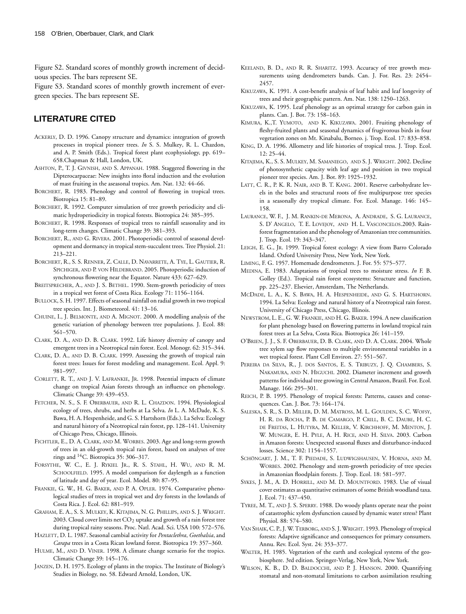Figure S2. Standard scores of monthly growth increment of deciduous species. The bars represent SE.

Figure S3. Standard scores of monthly growth increment of evergreen species. The bars represent SE.

### **LITERATURE CITED**

- ACKERLY, D. D. 1996. Canopy structure and dynamics: integration of growth processes in tropical pioneer trees. *In* S. S. Mulkey, R. L. Chazdon, and A. P. Smith (Eds.). Tropical forest plant ecophysiology, pp. 619– 658.Chapman & Hall, London, UK.
- ASHTON, P., T. J. GIVNISH, AND S. APPANAH. 1988. Staggered flowering in the Dipterocarpaceae: New insights into floral induction and the evolution of mast fruiting in the aseasonal tropics. Am. Nat. 132: 44–66.
- BORCHERT, R. 1983. Phenology and control of flowering in tropical trees. Biotropica 15: 81–89.
- BORCHERT, R. 1992. Computer simulation of tree growth periodicity and climatic hydroperiodicity in tropical forests. Biotropica 24: 385–395.
- BORCHERT, R. 1998. Responses of tropical trees to rainfall seasonality and its long-term changes. Climatic Change 39: 381–393.
- BORCHERT, R., AND G. RIVERA. 2001. Photoperiodic control of seasonal development and dormancy in tropical stem-succulent trees. Tree Physiol. 21: 213–221.
- BORCHERT, R., S. S. RENNER, Z. CALLE, D. NAVARRETE, A. TYE, L. GAUTIER, R. SPICHIGER, AND P. VON HILDEBRAND. 2005. Photoperiodic induction of synchronous flowering near the Equator. Nature 433: 627–629.
- BREITSPRECHER, A., AND J. S. BETHEL. 1990. Stem-growth periodicity of trees in a tropical wet forest of Costa Rica. Ecology 71: 1156–1164.
- BULLOCK, S. H. 1997. Effects of seasonal rainfall on radial growth in two tropical tree species. Int. J. Biometeorol. 41: 13–16.
- CHUINE, I., J. BELMONTE, AND A. MIGNOT. 2000. A modelling analysis of the genetic variation of phenology between tree populations. J. Ecol. 88: 561–570.
- CLARK, D. A., AND D. B. CLARK. 1992. Life history diversity of canopy and emergent trees in a Neotropical rain forest. Ecol. Monogr. 62: 315–344.
- CLARK, D. A., AND D. B. CLARK. 1999. Assessing the growth of tropical rain forest trees: Issues for forest modeling and management. Ecol. Appl. 9: 981–997.
- CORLETT, R. T., AND J. V. LAFRANKIE, JR. 1998. Potential impacts of climate change on tropical Asian forests through an influence on phenology. Climatic Change 39: 439–453.
- FETCHER, N. S., S. F. OBERBAUER, AND R. L. CHAZDON. 1994. Physiological ecology of trees, shrubs, and herbs at La Selva. *In* L. A. McDade, K. S. Bawa, H. A. Hespenheide, and G. S. Hartshorn (Eds.). La Selva: Ecology and natural history of a Neotropical rain forest, pp. 128–141. University of Chicago Press, Chicago, Illinois.
- FICHTLER, E., D. A. CLARK, AND M. WORBES. 2003. Age and long-term growth of trees in an old-growth tropical rain forest, based on analyses of tree rings and 14C. Biotropica 35: 306–317.
- FORSYTHE, W. C., E. J. RYKIEL JR., R. S. STAHL, H. WU, AND R. M. SCHOOLFIELD. 1995. A model comparison for daylength as a function of latitude and day of year. Ecol. Model. 80: 87–95.
- FRANKIE, G. W., H. G. BAKER, AND P. A. OPLER. 1974. Comparative phenological studies of trees in tropical wet and dry forests in the lowlands of Costa Rica. J. Ecol. 62: 881–919.
- GRAHAM, E. A., S. S. MULKEY, K. KITAJIMA, N. G. PHILLIPS, AND S. J. WRIGHT. 2003. Cloud cover limits net  $CO<sub>2</sub>$  uptake and growth of a rain forest tree during tropical rainy seasons. Proc. Natl. Acad. Sci. USA 100: 572–576.
- HAZLETT, D. L. 1987. Seasonal cambial activity for *Pentaclethra*, *Goethalsia*, and *Carapa* trees in a Costa Rican lowland forest. Biotropica 19: 357–360.
- HULME, M., AND D. VINER. 1998. A climate change scenario for the tropics. Climatic Change 39: 145–176.
- JANZEN, D. H. 1975. Ecology of plants in the tropics. The Institute of Biology's Studies in Biology, no. 58. Edward Arnold, London, UK.
- KEELAND, B. D., AND R. R. SHARITZ. 1993. Accuracy of tree growth measurements using dendrometers bands. Can. J. For. Res. 23: 2454– 2457.
- KIKUZAWA, K. 1991. A cost-benefit analysis of leaf habit and leaf longevity of trees and their geographic pattern. Am. Nat. 138: 1250–1263.
- KIKUZAWA, K. 1995. Leaf phenology as an optimal strategy for carbon gain in plants. Can. J. Bot. 73: 158–163.
- KIMURA, K.,T. YUMOTO, AND K. KIKUZAWA. 2001. Fruiting phenology of fleshy-fruited plants and seasonal dynamics of frugivorous birds in four vegetation zones on Mt. Kinabalu, Borneo. j. Trop. Ecol. 17: 833–858.
- KING, D. A. 1996. Allometry and life histories of tropical tress. J. Trop. Ecol. 12: 25–44.
- KITAJIMA, K., S. S. MULKEY, M. SAMANIEGO, AND S. J. WRIGHT. 2002. Decline of photosynthetic capacity with leaf age and position in two tropical pioneer tree species. Am. J. Bot. 89: 1925–1932.
- LATT, C. R., P. K. R. NAIR, AND B. T. KANG. 2001. Reserve carbohydrate levels in the boles and structural roots of five multipurpose tree species in a seasonally dry tropical climate. For. Ecol. Manage. 146: 145– 158.
- LAURANCE, W. F., J. M. RANKIN-DE MERONA, A. ANDRADE, S. G. LAURANCE, S. D' ANGELO, T. E. LOVEJOY, AND H. L. VASCONCELOS.2003. Rainforest fragmentation and the phenology of Amazonian tree communities. J. Trop. Ecol. 19: 343–347.
- LEIGH, E. G., JR. 1999. Tropical forest ecology: A view from Barro Colorado Island. Oxford University Press, New York, New York.
- LIMING, F. G. 1957. Homemade dendrometers. J. For. 55: 575–577.
- MEDINA, E. 1983. Adaptations of tropical trees to moisture stress. *In* F. B. Golley (Ed.). Tropical rain forest ecosystems: Structure and function, pp. 225–237. Elsevier, Amsterdam, The Netherlands.
- MCDADE, L. A., K. S. BAWA, H. A. HESPENHEIDE, AND G. S. HARTSHORN. 1994. La Selva: Ecology and natural history of a Neotropical rain forest. University of Chicago Press, Chicago, Illinois.
- NEWSTROM, L. E., G. W. FRANKIE, AND H. G. BAKER. 1994. A new classification for plant phenology based on flowering patterns in lowland tropical rain forest trees at La Selva, Costa Rica. Biotropica 26: 141–159.
- O'BRIEN, J. J., S. F. OBERBAUER, D. B. CLARK, AND D. A. CLARK. 2004. Whole tree xylem sap flow responses to multiple environmental variables in a wet tropical forest. Plant Cell Environ. 27: 551–567.
- PEREIRA DA SILVA, R., J. DOS SANTOS, E. S. TRIBUZY, J. Q. CHAMBERS, S. NAKAMURA, AND N. HIGUCHI. 2002. Diameter increment and growth patterns for individual tree growing in Central Amazon, Brazil. For. Ecol. Manage. 166: 295–301.
- REICH, P. B. 1995. Phenology of tropical forests: Patterns, causes and consequences. Can. J. Bot. 73: 164–174.
- SALESKA, S. R., S. D. MILLER, D. M. MATROSS, M. L. GOULDEN, S. C. WOFSY, H. R. DA ROCHA, P. B. DE CAMARGO, P. CRILL, B. C. DAUBE, H. C. DE FREITAS, L. HUTYRA, M. KELLER, V. KIRCHHOFF, M. MENTON, J. W. MUNGER, E. H. PYLE, A. H. RICE, AND H. SILVA. 2003. Carbon in Amazon forests: Unexpected seasonal fluxes and disturbance-induced losses. Science 302: 1154–1557.
- SCHÖNGART, J. M., T. F. PIEDADE, S. LUDWIGSHAUSEN, V. HORNA, AND M. WORBES. 2002. Phenology and stem-growth periodicity of tree species in Amazonian floodplain forests. J. Trop. Ecol. 18: 581–597.
- SYKES, J. M., A. D. HORRILL, AND M. D. MOUNTFORD. 1983. Use of visual cover estimates as quantitative estimators of some British woodland taxa. J. Ecol. 71: 437–450.
- TYREE, M. T., AND J. S. SPERRY. 1988. Do woody plants operate near the point of catastrophic xylem dysfunction caused by dynamic water stress? Plant Physiol. 88: 574–580.
- VAN SHAIK, C. P., J.W. TERBORG, AND S. J.WRIGHT. 1993. Phenology of tropical forests: Adaptive significance and consequences for primary consumers. Annu. Rev. Ecol. Syst. 24: 353–377.
- WALTER, H. 1985. Vegetation of the earth and ecological systems of the geobiosphere. 3rd edition. Springer-Verlag, New York, New York.
- WILSON, K. B., D. D. BALDOCCHI, AND P. J. HANSON. 2000. Quantifying stomatal and non-stomatal limitations to carbon assimilation resulting